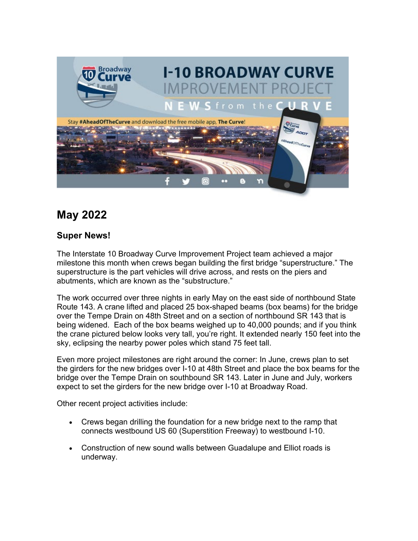

## **May 2022**

## **Super News!**

The Interstate 10 Broadway Curve Improvement Project team achieved a major milestone this month when crews began building the first bridge "superstructure." The superstructure is the part vehicles will drive across, and rests on the piers and abutments, which are known as the "substructure."

The work occurred over three nights in early May on the east side of northbound State Route 143. A crane lifted and placed 25 box-shaped beams (box beams) for the bridge over the Tempe Drain on 48th Street and on a section of northbound SR 143 that is being widened. Each of the box beams weighed up to 40,000 pounds; and if you think the crane pictured below looks very tall, you're right. It extended nearly 150 feet into the sky, eclipsing the nearby power poles which stand 75 feet tall.

Even more project milestones are right around the corner: In June, crews plan to set the girders for the new bridges over I-10 at 48th Street and place the box beams for the bridge over the Tempe Drain on southbound SR 143. Later in June and July, workers expect to set the girders for the new bridge over I-10 at Broadway Road.

Other recent project activities include:

- Crews began drilling the foundation for a new bridge next to the ramp that connects westbound US 60 (Superstition Freeway) to westbound I-10.
- Construction of new sound walls between Guadalupe and Elliot roads is underway.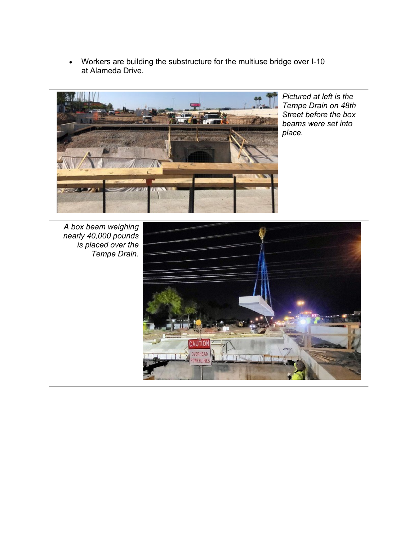• Workers are building the substructure for the multiuse bridge over I-10 at Alameda Drive.



*Pictured at left is the Tempe Drain on 48th Street before the box beams were set into place.* 

*A box beam weighing nearly 40,000 pounds is placed over the Tempe Drain.*

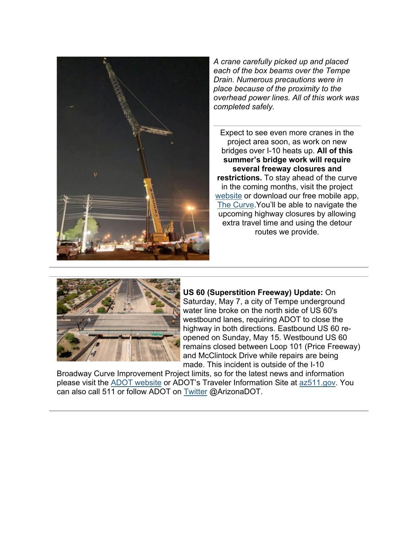

*A crane carefully picked up and placed each of the box beams over the Tempe Drain. Numerous precautions were in place because of the proximity to the overhead power lines. All of this work was completed safely.*

Expect to see even more cranes in the project area soon, as work on new bridges over I-10 heats up. **All of this summer's bridge work will require several freeway closures and restrictions.** To stay ahead of the curve in the coming months, visit the project [website](https://lnks.gd/l/eyJhbGciOiJIUzI1NiJ9.eyJidWxsZXRpbl9saW5rX2lkIjoxMDAsInVyaSI6ImJwMjpjbGljayIsImJ1bGxldGluX2lkIjoiMjAyMjA1MTguNTgxMjEzMDEiLCJ1cmwiOiJodHRwczovL2kxMGJyb2Fkd2F5Y3VydmUuY29tLyJ9.eDH_883ench0wYfv9sHbzZhH5QVBuhzSxPHRNuWi2G0/s/980238369/br/131547902061-l) or download our free mobile app, [The Curve.](https://lnks.gd/l/eyJhbGciOiJIUzI1NiJ9.eyJidWxsZXRpbl9saW5rX2lkIjoxMDEsInVyaSI6ImJwMjpjbGljayIsImJ1bGxldGluX2lkIjoiMjAyMjA1MTguNTgxMjEzMDEiLCJ1cmwiOiJodHRwczovL2kxMGJyb2Fkd2F5Y3VydmUuY29tL21vYmlsZS1hcHBsaWNhdGlvbi8ifQ.VXagIpSWok0tQYkB82IjRE5N4Oo5J6DcpIpaI-ZiCYI/s/980238369/br/131547902061-l)You'll be able to navigate the upcoming highway closures by allowing extra travel time and using the detour routes we provide.



**US 60 (Superstition Freeway) Update:** On Saturday, May 7, a city of Tempe underground water line broke on the north side of US 60's westbound lanes, requiring ADOT to close the highway in both directions. Eastbound US 60 reopened on Sunday, May 15. Westbound US 60 remains closed between Loop 101 (Price Freeway) and McClintock Drive while repairs are being made. This incident is outside of the I-10

Broadway Curve Improvement Project limits, so for the latest news and information please visit the [ADOT website](https://lnks.gd/l/eyJhbGciOiJIUzI1NiJ9.eyJidWxsZXRpbl9saW5rX2lkIjoxMDMsInVyaSI6ImJwMjpjbGljayIsImJ1bGxldGluX2lkIjoiMjAyMjA1MTguNTgxMjEzMDEiLCJ1cmwiOiJodHRwczovL2F6ZG90Lmdvdi8ifQ.w26EKGIsyUFi1QV5emFJToOf7kCRjq7gUQJnQb734I4/s/980238369/br/131547902061-l) or ADOT's Traveler Information Site at [az511.gov.](https://lnks.gd/l/eyJhbGciOiJIUzI1NiJ9.eyJidWxsZXRpbl9saW5rX2lkIjoxMDQsInVyaSI6ImJwMjpjbGljayIsImJ1bGxldGluX2lkIjoiMjAyMjA1MTguNTgxMjEzMDEiLCJ1cmwiOiJodHRwczovL2F6NTExLmdvdi8ifQ.J1UCa8XfykAh55e2LnN-4RtWjE_7FI7Al6vNxQsveCQ/s/980238369/br/131547902061-l) You can also call 511 or follow ADOT on [Twitter](https://lnks.gd/l/eyJhbGciOiJIUzI1NiJ9.eyJidWxsZXRpbl9saW5rX2lkIjoxMDUsInVyaSI6ImJwMjpjbGljayIsImJ1bGxldGluX2lkIjoiMjAyMjA1MTguNTgxMjEzMDEiLCJ1cmwiOiJodHRwczovL3R3aXR0ZXIuY29tL0FyaXpvbmFET1QifQ.ANKsXOco_5DsAyh6Jc9ro1zv4zjTmDGc1lvYmBeiCnQ/s/980238369/br/131547902061-l) @ArizonaDOT.